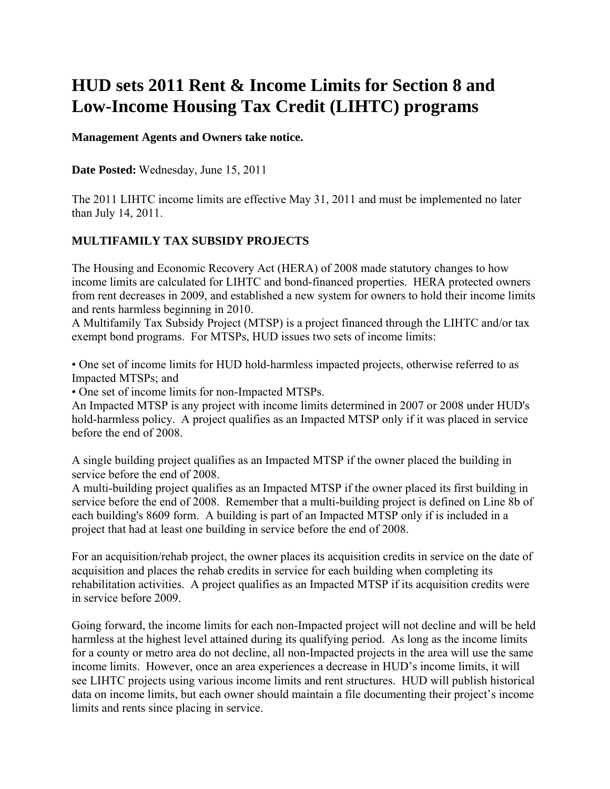# **HUD sets 2011 Rent & Income Limits for Section 8 and Low-Income Housing Tax Credit (LIHTC) programs**

**Management Agents and Owners take notice.** 

**Date Posted:** Wednesday, June 15, 2011

The 2011 LIHTC income limits are effective May 31, 2011 and must be implemented no later than July 14, 2011.

## **MULTIFAMILY TAX SUBSIDY PROJECTS**

The Housing and Economic Recovery Act (HERA) of 2008 made statutory changes to how income limits are calculated for LIHTC and bond-financed properties. HERA protected owners from rent decreases in 2009, and established a new system for owners to hold their income limits and rents harmless beginning in 2010.

A Multifamily Tax Subsidy Project (MTSP) is a project financed through the LIHTC and/or tax exempt bond programs. For MTSPs, HUD issues two sets of income limits:

• One set of income limits for HUD hold-harmless impacted projects, otherwise referred to as Impacted MTSPs; and

• One set of income limits for non-Impacted MTSPs.

An Impacted MTSP is any project with income limits determined in 2007 or 2008 under HUD's hold-harmless policy. A project qualifies as an Impacted MTSP only if it was placed in service before the end of 2008.

A single building project qualifies as an Impacted MTSP if the owner placed the building in service before the end of 2008.

A multi-building project qualifies as an Impacted MTSP if the owner placed its first building in service before the end of 2008. Remember that a multi-building project is defined on Line 8b of each building's 8609 form. A building is part of an Impacted MTSP only if is included in a project that had at least one building in service before the end of 2008.

For an acquisition/rehab project, the owner places its acquisition credits in service on the date of acquisition and places the rehab credits in service for each building when completing its rehabilitation activities. A project qualifies as an Impacted MTSP if its acquisition credits were in service before 2009.

Going forward, the income limits for each non-Impacted project will not decline and will be held harmless at the highest level attained during its qualifying period. As long as the income limits for a county or metro area do not decline, all non-Impacted projects in the area will use the same income limits. However, once an area experiences a decrease in HUD's income limits, it will see LIHTC projects using various income limits and rent structures. HUD will publish historical data on income limits, but each owner should maintain a file documenting their project's income limits and rents since placing in service.